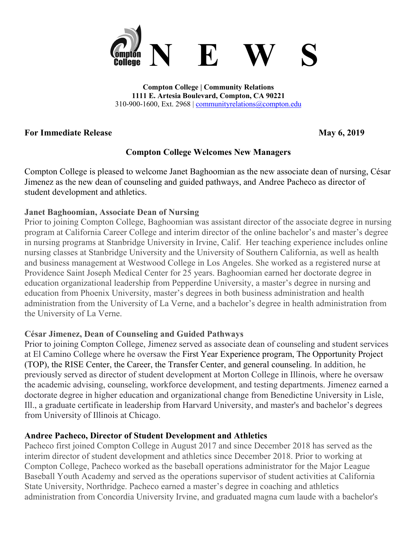

**Compton College | Community Relations 1111 E. Artesia Boulevard, Compton, CA 90221** 310-900-1600, Ext. 2968 | [communityrelations@compton.edu](mailto:communityrelations@compton.edu)

### **For Immediate Release May 6, 2019**

## **Compton College Welcomes New Managers**

Compton College is pleased to welcome Janet Baghoomian as the new associate dean of nursing, César Jimenez as the new dean of counseling and guided pathways, and Andree Pacheco as director of student development and athletics.

## **Janet Baghoomian, Associate Dean of Nursing**

Prior to joining Compton College, Baghoomian was assistant director of the associate degree in nursing program at California Career College and interim director of the online bachelor's and master's degree in nursing programs at Stanbridge University in Irvine, Calif. Her teaching experience includes online nursing classes at Stanbridge University and the University of Southern California, as well as health and business management at Westwood College in Los Angeles. She worked as a registered nurse at Providence Saint Joseph Medical Center for 25 years. Baghoomian earned her doctorate degree in education organizational leadership from Pepperdine University, a master's degree in nursing and education from Phoenix University, master's degrees in both business administration and health administration from the University of La Verne, and a bachelor's degree in health administration from the University of La Verne.

## **César Jimenez, Dean of Counseling and Guided Pathways**

Prior to joining Compton College, Jimenez served as associate dean of counseling and student services at El Camino College where he oversaw the First Year Experience program, The Opportunity Project (TOP), the RISE Center, the Career, the Transfer Center, and general counseling. In addition, he previously served as director of student development at Morton College in Illinois, where he oversaw the academic advising, counseling, workforce development, and testing departments. Jimenez earned a doctorate degree in higher education and organizational change from Benedictine University in Lisle, Ill., a graduate certificate in leadership from Harvard University, and master's and bachelor's degrees from University of Illinois at Chicago.

## **Andree Pacheco, Director of Student Development and Athletics**

Pacheco first joined Compton College in August 2017 and since December 2018 has served as the interim director of student development and athletics since December 2018. Prior to working at Compton College, Pacheco worked as the baseball operations administrator for the Major League Baseball Youth Academy and served as the operations supervisor of student activities at California State University, Northridge. Pacheco earned a master's degree in coaching and athletics administration from Concordia University Irvine, and graduated magna cum laude with a bachelor's